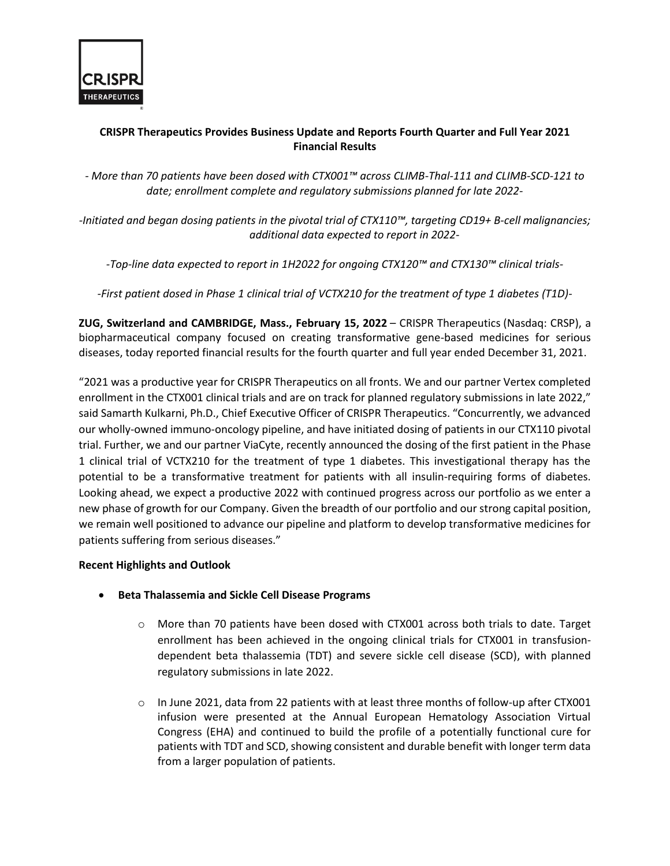

## **CRISPR Therapeutics Provides Business Update and Reports Fourth Quarter and Full Year 2021 Financial Results**

*- More than 70 patients have been dosed with CTX001™ across CLIMB-Thal-111 and CLIMB-SCD-121 to date; enrollment complete and regulatory submissions planned for late 2022-*

*-Initiated and began dosing patients in the pivotal trial of CTX110™, targeting CD19+ B-cell malignancies; additional data expected to report in 2022-*

*-Top-line data expected to report in 1H2022 for ongoing CTX120™ and CTX130™ clinical trials-*

*-First patient dosed in Phase 1 clinical trial of VCTX210 for the treatment of type 1 diabetes (T1D)-*

**ZUG, Switzerland and CAMBRIDGE, Mass., February 15, 2022** – CRISPR Therapeutics (Nasdaq: CRSP), a biopharmaceutical company focused on creating transformative gene-based medicines for serious diseases, today reported financial results for the fourth quarter and full year ended December 31, 2021.

"2021 was a productive year for CRISPR Therapeutics on all fronts. We and our partner Vertex completed enrollment in the CTX001 clinical trials and are on track for planned regulatory submissions in late 2022," said Samarth Kulkarni, Ph.D., Chief Executive Officer of CRISPR Therapeutics. "Concurrently, we advanced our wholly-owned immuno-oncology pipeline, and have initiated dosing of patients in our CTX110 pivotal trial. Further, we and our partner ViaCyte, recently announced the dosing of the first patient in the Phase 1 clinical trial of VCTX210 for the treatment of type 1 diabetes. This investigational therapy has the potential to be a transformative treatment for patients with all insulin-requiring forms of diabetes. Looking ahead, we expect a productive 2022 with continued progress across our portfolio as we enter a new phase of growth for our Company. Given the breadth of our portfolio and our strong capital position, we remain well positioned to advance our pipeline and platform to develop transformative medicines for patients suffering from serious diseases."

## **Recent Highlights and Outlook**

- **Beta Thalassemia and Sickle Cell Disease Programs**
	- o More than 70 patients have been dosed with CTX001 across both trials to date. Target enrollment has been achieved in the ongoing clinical trials for CTX001 in transfusiondependent beta thalassemia (TDT) and severe sickle cell disease (SCD), with planned regulatory submissions in late 2022.
	- $\circ$  In June 2021, data from 22 patients with at least three months of follow-up after CTX001 infusion were presented at the Annual European Hematology Association Virtual Congress (EHA) and continued to build the profile of a potentially functional cure for patients with TDT and SCD, showing consistent and durable benefit with longer term data from a larger population of patients.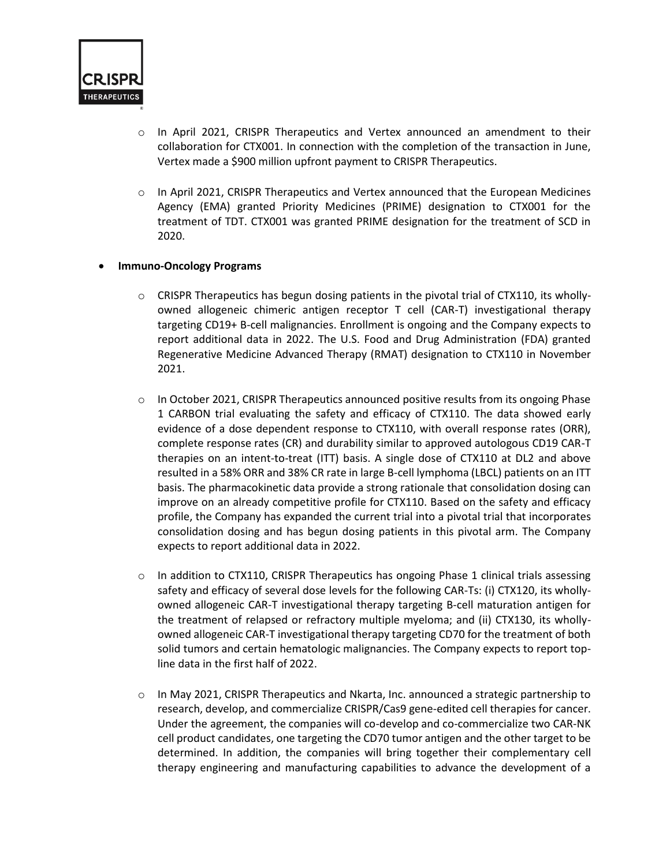

- o In April 2021, CRISPR Therapeutics and Vertex announced an amendment to their collaboration for CTX001. In connection with the completion of the transaction in June, Vertex made a \$900 million upfront payment to CRISPR Therapeutics.
- $\circ$  In April 2021, CRISPR Therapeutics and Vertex announced that the European Medicines Agency (EMA) granted Priority Medicines (PRIME) designation to CTX001 for the treatment of TDT. CTX001 was granted PRIME designation for the treatment of SCD in 2020.

## • **Immuno-Oncology Programs**

- $\circ$  CRISPR Therapeutics has begun dosing patients in the pivotal trial of CTX110, its whollyowned allogeneic chimeric antigen receptor T cell (CAR-T) investigational therapy targeting CD19+ B-cell malignancies. Enrollment is ongoing and the Company expects to report additional data in 2022. The U.S. Food and Drug Administration (FDA) granted Regenerative Medicine Advanced Therapy (RMAT) designation to CTX110 in November 2021.
- $\circ$  In October 2021, CRISPR Therapeutics announced positive results from its ongoing Phase 1 CARBON trial evaluating the safety and efficacy of CTX110. The data showed early evidence of a dose dependent response to CTX110, with overall response rates (ORR), complete response rates (CR) and durability similar to approved autologous CD19 CAR-T therapies on an intent-to-treat (ITT) basis. A single dose of CTX110 at DL2 and above resulted in a 58% ORR and 38% CR rate in large B-cell lymphoma (LBCL) patients on an ITT basis. The pharmacokinetic data provide a strong rationale that consolidation dosing can improve on an already competitive profile for CTX110. Based on the safety and efficacy profile, the Company has expanded the current trial into a pivotal trial that incorporates consolidation dosing and has begun dosing patients in this pivotal arm. The Company expects to report additional data in 2022.
- $\circ$  In addition to CTX110, CRISPR Therapeutics has ongoing Phase 1 clinical trials assessing safety and efficacy of several dose levels for the following CAR-Ts: (i) CTX120, its whollyowned allogeneic CAR-T investigational therapy targeting B-cell maturation antigen for the treatment of relapsed or refractory multiple myeloma; and (ii) CTX130, its whollyowned allogeneic CAR-T investigational therapy targeting CD70 for the treatment of both solid tumors and certain hematologic malignancies. The Company expects to report topline data in the first half of 2022.
- o In May 2021, CRISPR Therapeutics and Nkarta, Inc. announced a strategic partnership to research, develop, and commercialize CRISPR/Cas9 gene-edited cell therapies for cancer. Under the agreement, the companies will co-develop and co-commercialize two CAR-NK cell product candidates, one targeting the CD70 tumor antigen and the other target to be determined. In addition, the companies will bring together their complementary cell therapy engineering and manufacturing capabilities to advance the development of a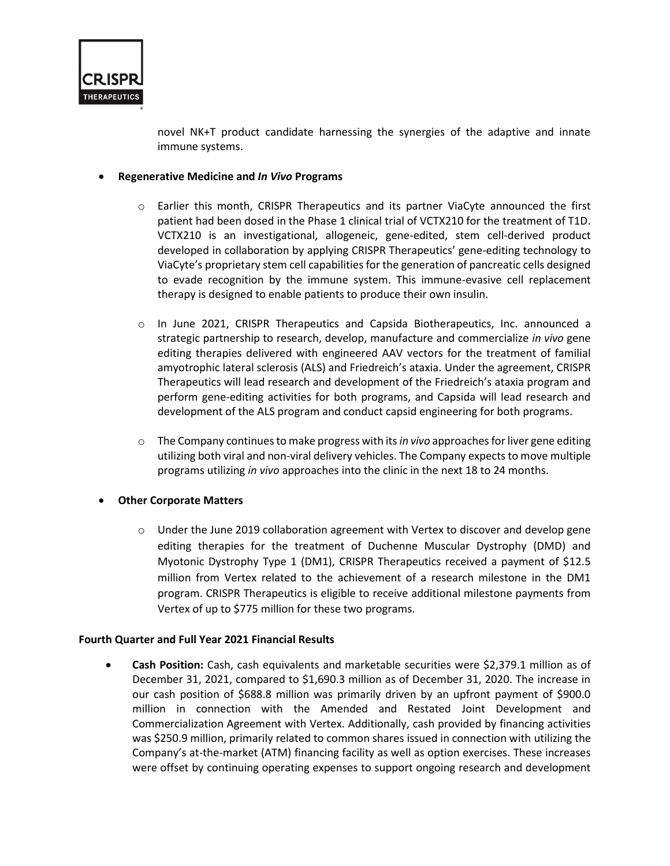

novel NK+T product candidate harnessing the synergies of the adaptive and innate immune systems.

## • **Regenerative Medicine and** *In Vivo* **Programs**

- o Earlier this month, CRISPR Therapeutics and its partner ViaCyte announced the first patient had been dosed in the Phase 1 clinical trial of VCTX210 for the treatment of T1D. VCTX210 is an investigational, allogeneic, gene-edited, stem cell-derived product developed in collaboration by applying CRISPR Therapeutics' gene-editing technology to ViaCyte's proprietary stem cell capabilities for the generation of pancreatic cells designed to evade recognition by the immune system. This immune-evasive cell replacement therapy is designed to enable patients to produce their own insulin.
- o In June 2021, CRISPR Therapeutics and Capsida Biotherapeutics, Inc. announced a strategic partnership to research, develop, manufacture and commercialize *in vivo* gene editing therapies delivered with engineered AAV vectors for the treatment of familial amyotrophic lateral sclerosis (ALS) and Friedreich's ataxia. Under the agreement, CRISPR Therapeutics will lead research and development of the Friedreich's ataxia program and perform gene-editing activities for both programs, and Capsida will lead research and development of the ALS program and conduct capsid engineering for both programs.
- o The Company continues to make progress with its *in vivo* approaches for liver gene editing utilizing both viral and non-viral delivery vehicles. The Company expects to move multiple programs utilizing *in vivo* approaches into the clinic in the next 18 to 24 months.

## • **Other Corporate Matters**

 $\circ$  Under the June 2019 collaboration agreement with Vertex to discover and develop gene editing therapies for the treatment of Duchenne Muscular Dystrophy (DMD) and Myotonic Dystrophy Type 1 (DM1), CRISPR Therapeutics received a payment of \$12.5 million from Vertex related to the achievement of a research milestone in the DM1 program. CRISPR Therapeutics is eligible to receive additional milestone payments from Vertex of up to \$775 million for these two programs.

#### **Fourth Quarter and Full Year 2021 Financial Results**

• **Cash Position:** Cash, cash equivalents and marketable securities were \$2,379.1 million as of December 31, 2021, compared to \$1,690.3 million as of December 31, 2020. The increase in our cash position of \$688.8 million was primarily driven by an upfront payment of \$900.0 million in connection with the Amended and Restated Joint Development and Commercialization Agreement with Vertex. Additionally, cash provided by financing activities was \$250.9 million, primarily related to common shares issued in connection with utilizing the Company's at-the-market (ATM) financing facility as well as option exercises. These increases were offset by continuing operating expenses to support ongoing research and development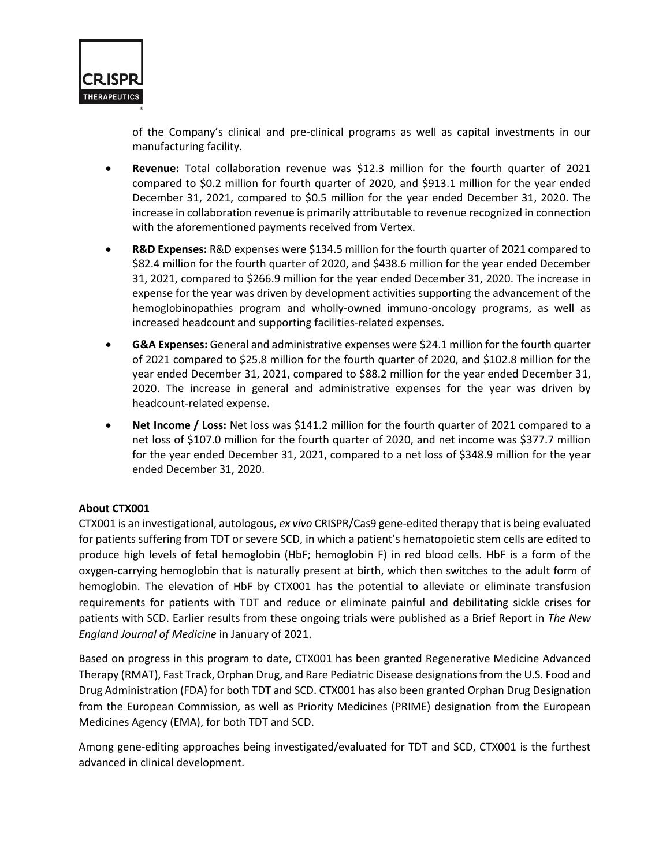

of the Company's clinical and pre-clinical programs as well as capital investments in our manufacturing facility.

- **Revenue:** Total collaboration revenue was \$12.3 million for the fourth quarter of 2021 compared to \$0.2 million for fourth quarter of 2020, and \$913.1 million for the year ended December 31, 2021, compared to \$0.5 million for the year ended December 31, 2020. The increase in collaboration revenue is primarily attributable to revenue recognized in connection with the aforementioned payments received from Vertex.
- **R&D Expenses:** R&D expenses were \$134.5 million for the fourth quarter of 2021 compared to \$82.4 million for the fourth quarter of 2020, and \$438.6 million for the year ended December 31, 2021, compared to \$266.9 million for the year ended December 31, 2020. The increase in expense for the year was driven by development activities supporting the advancement of the hemoglobinopathies program and wholly-owned immuno-oncology programs, as well as increased headcount and supporting facilities-related expenses.
- **G&A Expenses:** General and administrative expenses were \$24.1 million for the fourth quarter of 2021 compared to \$25.8 million for the fourth quarter of 2020, and \$102.8 million for the year ended December 31, 2021, compared to \$88.2 million for the year ended December 31, 2020. The increase in general and administrative expenses for the year was driven by headcount-related expense.
- **Net Income / Loss:** Net loss was \$141.2 million for the fourth quarter of 2021 compared to a net loss of \$107.0 million for the fourth quarter of 2020, and net income was \$377.7 million for the year ended December 31, 2021, compared to a net loss of \$348.9 million for the year ended December 31, 2020.

## **About CTX001**

CTX001 is an investigational, autologous, *ex vivo* CRISPR/Cas9 gene-edited therapy that is being evaluated for patients suffering from TDT or severe SCD, in which a patient's hematopoietic stem cells are edited to produce high levels of fetal hemoglobin (HbF; hemoglobin F) in red blood cells. HbF is a form of the oxygen-carrying hemoglobin that is naturally present at birth, which then switches to the adult form of hemoglobin. The elevation of HbF by CTX001 has the potential to alleviate or eliminate transfusion requirements for patients with TDT and reduce or eliminate painful and debilitating sickle crises for patients with SCD. Earlier results from these ongoing trials were published as a Brief Report in *The New England Journal of Medicine* in January of 2021.

Based on progress in this program to date, CTX001 has been granted Regenerative Medicine Advanced Therapy (RMAT), Fast Track, Orphan Drug, and Rare Pediatric Disease designations from the U.S. Food and Drug Administration (FDA) for both TDT and SCD. CTX001 has also been granted Orphan Drug Designation from the European Commission, as well as Priority Medicines (PRIME) designation from the European Medicines Agency (EMA), for both TDT and SCD.

Among gene-editing approaches being investigated/evaluated for TDT and SCD, CTX001 is the furthest advanced in clinical development.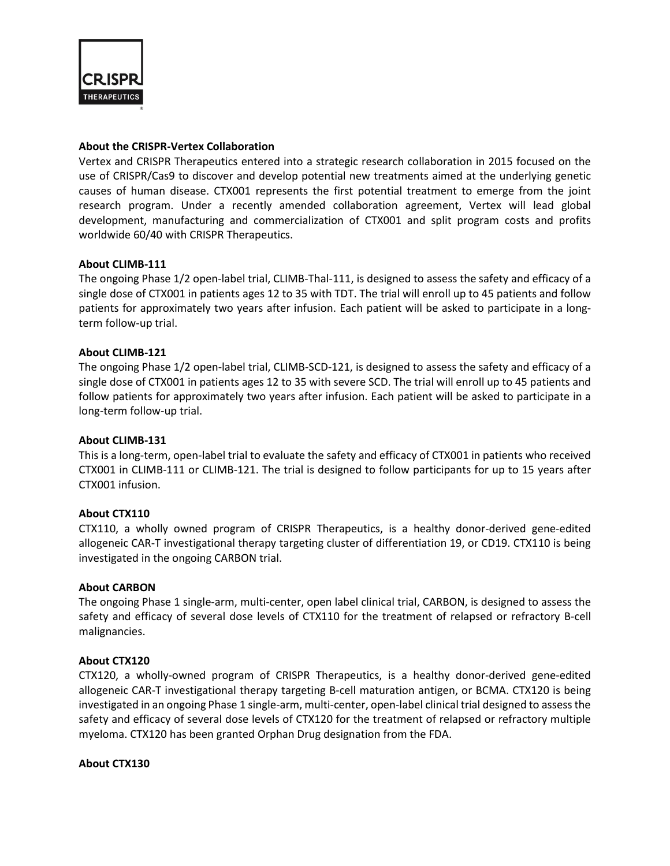

## **About the CRISPR-Vertex Collaboration**

Vertex and CRISPR Therapeutics entered into a strategic research collaboration in 2015 focused on the use of CRISPR/Cas9 to discover and develop potential new treatments aimed at the underlying genetic causes of human disease. CTX001 represents the first potential treatment to emerge from the joint research program. Under a recently amended collaboration agreement, Vertex will lead global development, manufacturing and commercialization of CTX001 and split program costs and profits worldwide 60/40 with CRISPR Therapeutics.

## **About CLIMB-111**

The ongoing Phase 1/2 open-label trial, CLIMB-Thal-111, is designed to assess the safety and efficacy of a single dose of CTX001 in patients ages 12 to 35 with TDT. The trial will enroll up to 45 patients and follow patients for approximately two years after infusion. Each patient will be asked to participate in a longterm follow-up trial.

## **About CLIMB-121**

The ongoing Phase 1/2 open-label trial, CLIMB-SCD-121, is designed to assess the safety and efficacy of a single dose of CTX001 in patients ages 12 to 35 with severe SCD. The trial will enroll up to 45 patients and follow patients for approximately two years after infusion. Each patient will be asked to participate in a long-term follow-up trial.

#### **About CLIMB-131**

This is a long-term, open-label trial to evaluate the safety and efficacy of CTX001 in patients who received CTX001 in CLIMB-111 or CLIMB-121. The trial is designed to follow participants for up to 15 years after CTX001 infusion.

#### **About CTX110**

CTX110, a wholly owned program of CRISPR Therapeutics, is a healthy donor-derived gene-edited allogeneic CAR-T investigational therapy targeting cluster of differentiation 19, or CD19. CTX110 is being investigated in the ongoing CARBON trial.

#### **About CARBON**

The ongoing Phase 1 single-arm, multi-center, open label clinical trial, CARBON, is designed to assess the safety and efficacy of several dose levels of CTX110 for the treatment of relapsed or refractory B-cell malignancies.

#### **About CTX120**

CTX120, a wholly-owned program of CRISPR Therapeutics, is a healthy donor-derived gene-edited allogeneic CAR-T investigational therapy targeting B-cell maturation antigen, or BCMA. CTX120 is being investigated in an ongoing Phase 1 single-arm, multi-center, open-label clinical trial designed to assessthe safety and efficacy of several dose levels of CTX120 for the treatment of relapsed or refractory multiple myeloma. CTX120 has been granted Orphan Drug designation from the FDA.

#### **About CTX130**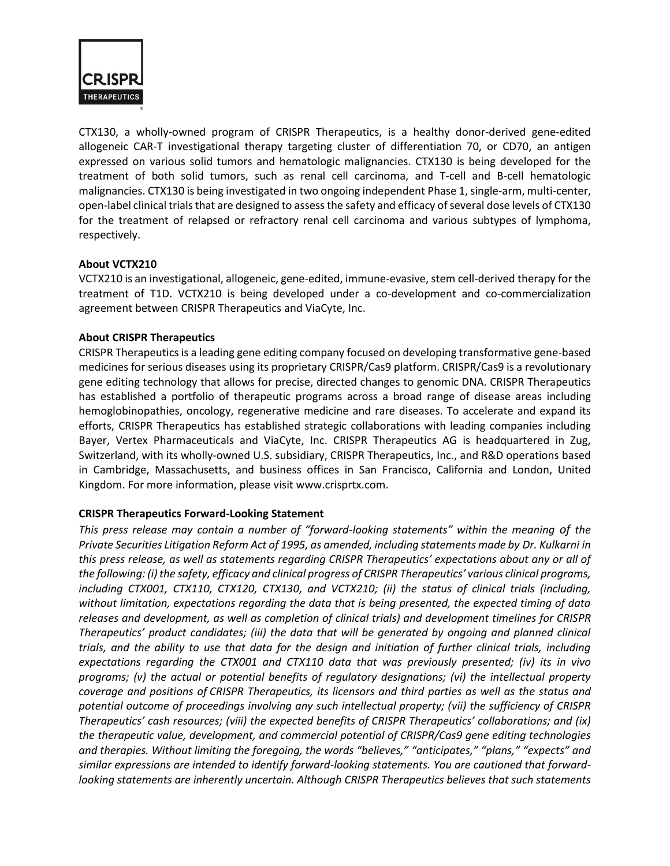

CTX130, a wholly-owned program of CRISPR Therapeutics, is a healthy donor-derived gene-edited allogeneic CAR-T investigational therapy targeting cluster of differentiation 70, or CD70, an antigen expressed on various solid tumors and hematologic malignancies. CTX130 is being developed for the treatment of both solid tumors, such as renal cell carcinoma, and T-cell and B-cell hematologic malignancies. CTX130 is being investigated in two ongoing independent Phase 1, single-arm, multi-center, open-label clinical trials that are designed to assess the safety and efficacy of several dose levels of CTX130 for the treatment of relapsed or refractory renal cell carcinoma and various subtypes of lymphoma, respectively.

## **About VCTX210**

VCTX210 is an investigational, allogeneic, gene-edited, immune-evasive, stem cell-derived therapy for the treatment of T1D. VCTX210 is being developed under a co-development and co-commercialization agreement between CRISPR Therapeutics and ViaCyte, Inc.

## **About CRISPR Therapeutics**

CRISPR Therapeuticsis a leading gene editing company focused on developing transformative gene-based medicines for serious diseases using its proprietary CRISPR/Cas9 platform. CRISPR/Cas9 is a revolutionary gene editing technology that allows for precise, directed changes to genomic DNA. CRISPR Therapeutics has established a portfolio of therapeutic programs across a broad range of disease areas including hemoglobinopathies, oncology, regenerative medicine and rare diseases. To accelerate and expand its efforts, CRISPR Therapeutics has established strategic collaborations with leading companies including Bayer, Vertex Pharmaceuticals and ViaCyte, Inc. CRISPR Therapeutics AG is headquartered in Zug, Switzerland, with its wholly-owned U.S. subsidiary, CRISPR Therapeutics, Inc., and R&D operations based in Cambridge, Massachusetts, and business offices in San Francisco, California and London, United Kingdom. For more information, please visit www.crisprtx.com.

## **CRISPR Therapeutics Forward-Looking Statement**

*This press release may contain a number of "forward-looking statements" within the meaning of the Private Securities Litigation Reform Act of 1995, as amended, including statements made by Dr. Kulkarni in this press release, as well as statements regarding CRISPR Therapeutics' expectations about any or all of the following: (i) the safety, efficacy and clinical progress of CRISPR Therapeutics' various clinical programs, including CTX001, CTX110, CTX120, CTX130, and VCTX210; (ii) the status of clinical trials (including, without limitation, expectations regarding the data that is being presented, the expected timing of data releases and development, as well as completion of clinical trials) and development timelines for CRISPR Therapeutics' product candidates; (iii) the data that will be generated by ongoing and planned clinical trials, and the ability to use that data for the design and initiation of further clinical trials, including expectations regarding the CTX001 and CTX110 data that was previously presented; (iv) its in vivo programs; (v) the actual or potential benefits of regulatory designations; (vi) the intellectual property coverage and positions of CRISPR Therapeutics, its licensors and third parties as well as the status and potential outcome of proceedings involving any such intellectual property; (vii) the sufficiency of CRISPR Therapeutics' cash resources; (viii) the expected benefits of CRISPR Therapeutics' collaborations; and (ix) the therapeutic value, development, and commercial potential of CRISPR/Cas9 gene editing technologies and therapies. Without limiting the foregoing, the words "believes," "anticipates," "plans," "expects" and similar expressions are intended to identify forward-looking statements. You are cautioned that forwardlooking statements are inherently uncertain. Although CRISPR Therapeutics believes that such statements*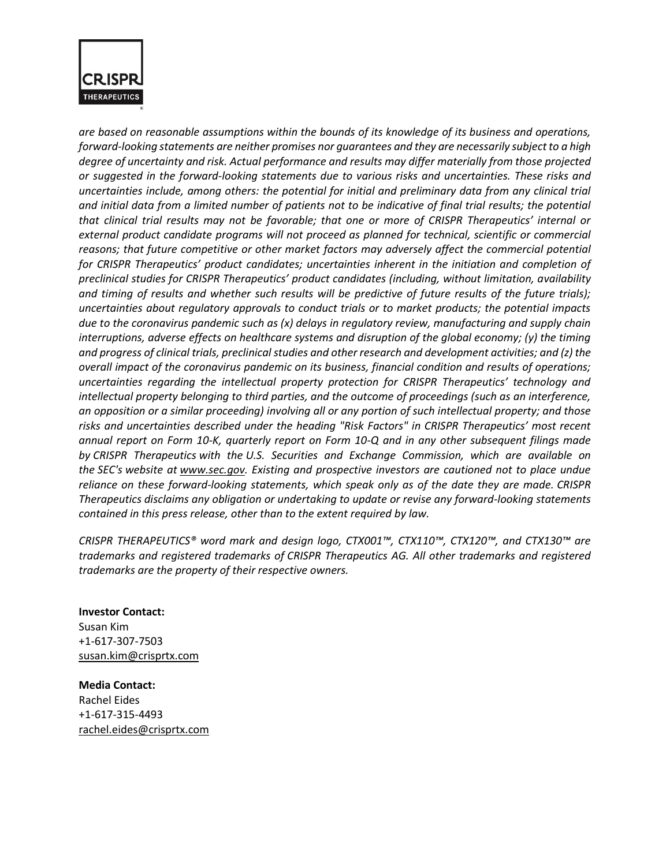

*are based on reasonable assumptions within the bounds of its knowledge of its business and operations, forward-looking statements are neither promises nor guarantees and they are necessarily subject to a high degree of uncertainty and risk. Actual performance and results may differ materially from those projected or suggested in the forward-looking statements due to various risks and uncertainties. These risks and uncertainties include, among others: the potential for initial and preliminary data from any clinical trial and initial data from a limited number of patients not to be indicative of final trial results; the potential that clinical trial results may not be favorable; that one or more of CRISPR Therapeutics' internal or external product candidate programs will not proceed as planned for technical, scientific or commercial reasons; that future competitive or other market factors may adversely affect the commercial potential*  for CRISPR Therapeutics' product candidates; uncertainties inherent in the initiation and completion of *preclinical studies for CRISPR Therapeutics' product candidates (including, without limitation, availability and timing of results and whether such results will be predictive of future results of the future trials); uncertainties about regulatory approvals to conduct trials or to market products; the potential impacts due to the coronavirus pandemic such as (x) delays in regulatory review, manufacturing and supply chain interruptions, adverse effects on healthcare systems and disruption of the global economy; (y) the timing and progress of clinical trials, preclinical studies and other research and development activities; and (z) the overall impact of the coronavirus pandemic on its business, financial condition and results of operations; uncertainties regarding the intellectual property protection for CRISPR Therapeutics' technology and intellectual property belonging to third parties, and the outcome of proceedings (such as an interference, an opposition or a similar proceeding) involving all or any portion of such intellectual property; and those risks and uncertainties described under the heading "Risk Factors" in CRISPR Therapeutics' most recent annual report on Form 10-K, quarterly report on Form 10-Q and in any other subsequent filings made by CRISPR Therapeutics with the U.S. Securities and Exchange Commission, which are available on the SEC's website at [www.sec.gov.](https://www.globenewswire.com/Tracker?data=FYFpG6kPQExnlUInzzGwwBbPDQF1as-a5x4WB2y95mZjx46NoTbT3_LLkzTmkrILCBsScxd03uFHF45KjlnYdQ==) Existing and prospective investors are cautioned not to place undue reliance on these forward-looking statements, which speak only as of the date they are made. CRISPR Therapeutics disclaims any obligation or undertaking to update or revise any forward-looking statements contained in this press release, other than to the extent required by law.*

*CRISPR THERAPEUTICS® word mark and design logo, CTX001™, CTX110™, CTX120™, and CTX130™ are trademarks and registered trademarks of CRISPR Therapeutics AG. All other trademarks and registered trademarks are the property of their respective owners.*

**Investor Contact:** Susan Kim +1-617-307-7503 [susan.kim@crisprtx.com](https://www.globenewswire.com/Tracker?data=RoySORq9ZZ90Fp9LaXw3bz78a3YVO3bmhWdG_H64mvJM8kgKLFnWf_jOtNQWGgTSCX8S8R9KHNjonAW9l_mTZdUA7VXMWjMfxruVV0Kam1k=)

**Media Contact:** Rachel Eides +1-617-315-4493 [rachel.eides@crisprtx.com](https://www.globenewswire.com/Tracker?data=MDD_Y81CROtPoHF_KDxxrEDT1vQeXtEB6fSeM75emiFSjxsc-qoQhok4Jyj-cl-eAbo0WhX59DRZPEPz3uI0iv-EHL9oyw2b2660bQrSOu0=)